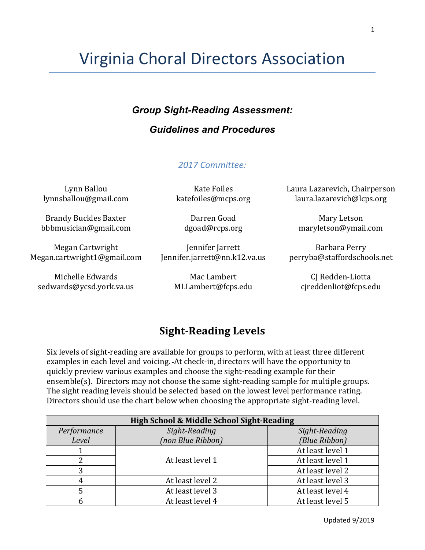# Virginia Choral Directors Association

## *Group Sight-Reading Assessment:*

## *Guidelines and Procedures*

### *2017 Committee:*

Lynn Ballou lynnsballou@gmail.com

Brandy Buckles Baxter bbbmusician@gmail.com

Megan Cartwright Megan.cartwright1@gmail.com

Michelle Edwards sedwards@ycsd.york.va.us

Kate Foiles katefoiles@mcps.org

Darren Goad dgoad@rcps.org

Jennifer Jarrett Jennifer.jarrett@nn.k12.va.us

> Mac Lambert MLLambert@fcps.edu

Laura Lazarevich, Chairperson laura.lazarevich@lcps.org

> Mary Letson maryletson@ymail.com

Barbara Perry perryba@staffordschools.net

> CI Redden-Liotta cjreddenliot@fcps.edu

# **Sight-Reading Levels**

Six levels of sight-reading are available for groups to perform, with at least three different examples in each level and voicing. At check-in, directors will have the opportunity to quickly preview various examples and choose the sight-reading example for their ensemble(s). Directors may not choose the same sight-reading sample for multiple groups. The sight reading levels should be selected based on the lowest level performance rating. Directors should use the chart below when choosing the appropriate sight-reading level.

| High School & Middle School Sight-Reading |                                |                  |  |  |
|-------------------------------------------|--------------------------------|------------------|--|--|
| Performance                               | Sight-Reading<br>Sight-Reading |                  |  |  |
| Level                                     | (non Blue Ribbon)              | (Blue Ribbon)    |  |  |
|                                           |                                | At least level 1 |  |  |
|                                           | At least level 1               | At least level 1 |  |  |
| 3                                         |                                | At least level 2 |  |  |
| 4                                         | At least level 2               | At least level 3 |  |  |
|                                           | At least level 3               | At least level 4 |  |  |
|                                           | At least level 4               | At least level 5 |  |  |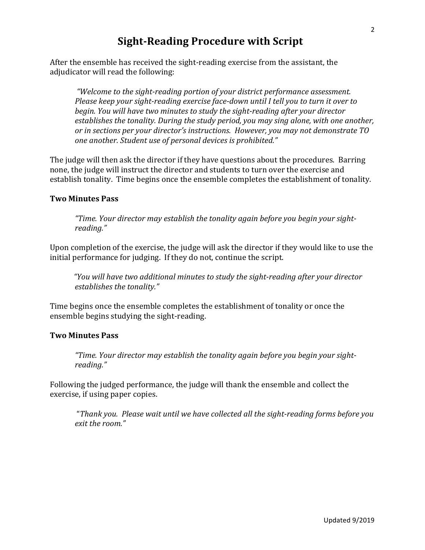## **Sight-Reading Procedure with Script**

After the ensemble has received the sight-reading exercise from the assistant, the adjudicator will read the following:

"Welcome to the sight-reading portion of your district performance assessment. *Please keep your sight-reading exercise face-down until I tell you to turn it over to begin.* You will have two minutes to study the sight-reading after your director establishes the tonality. During the study period, you may sing alone, with one another, *or* in sections per your director's instructions. However, you may not demonstrate TO *one another. Student use of personal devices is prohibited."* 

The judge will then ask the director if they have questions about the procedures. Barring none, the judge will instruct the director and students to turn over the exercise and establish tonality. Time begins once the ensemble completes the establishment of tonality.

#### **Two Minutes Pass**

"Time. Your director may establish the tonality again before you begin your sight*reading."*

Upon completion of the exercise, the judge will ask the director if they would like to use the initial performance for judging. If they do not, continue the script.

 *"You will have two additional minutes to study the sight-reading after your director establishes the tonality."* 

Time begins once the ensemble completes the establishment of tonality or once the ensemble begins studying the sight-reading.

#### **Two Minutes Pass**

"Time. Your director may establish the tonality again before you begin your sight*reading."*

Following the judged performance, the judge will thank the ensemble and collect the exercise, if using paper copies.

"Thank you. Please wait until we have collected all the sight-reading forms before you *exit the room."*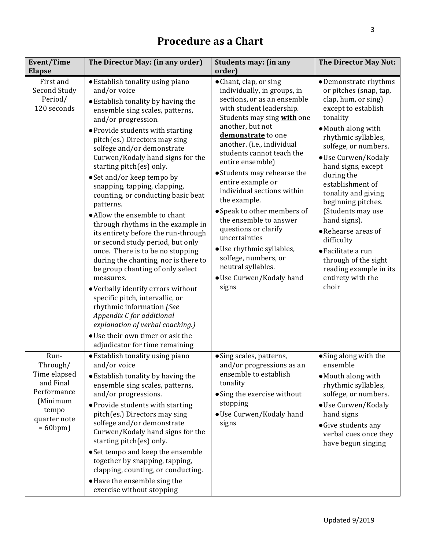| Event/Time<br><b>Elapse</b>                                                                                         | The Director May: (in any order)                                                                                                                                                                                                                                                                                                                                                                                                                                                                                                                                                                                                                                                                                                                                                                                                                                                                                                                                | <b>Students may: (in any</b><br>order)                                                                                                                                                                                                                                                                                                                                                                                                                                                                                                                                                      | The Director May Not:                                                                                                                                                                                                                                                                                                                                                                                                                                                                      |
|---------------------------------------------------------------------------------------------------------------------|-----------------------------------------------------------------------------------------------------------------------------------------------------------------------------------------------------------------------------------------------------------------------------------------------------------------------------------------------------------------------------------------------------------------------------------------------------------------------------------------------------------------------------------------------------------------------------------------------------------------------------------------------------------------------------------------------------------------------------------------------------------------------------------------------------------------------------------------------------------------------------------------------------------------------------------------------------------------|---------------------------------------------------------------------------------------------------------------------------------------------------------------------------------------------------------------------------------------------------------------------------------------------------------------------------------------------------------------------------------------------------------------------------------------------------------------------------------------------------------------------------------------------------------------------------------------------|--------------------------------------------------------------------------------------------------------------------------------------------------------------------------------------------------------------------------------------------------------------------------------------------------------------------------------------------------------------------------------------------------------------------------------------------------------------------------------------------|
| First and<br>Second Study<br>Period/<br>120 seconds                                                                 | • Establish tonality using piano<br>and/or voice<br>• Establish tonality by having the<br>ensemble sing scales, patterns,<br>and/or progression.<br>• Provide students with starting<br>pitch(es.) Directors may sing<br>solfege and/or demonstrate<br>Curwen/Kodaly hand signs for the<br>starting pitch(es) only.<br>• Set and/or keep tempo by<br>snapping, tapping, clapping,<br>counting, or conducting basic beat<br>patterns.<br>· Allow the ensemble to chant<br>through rhythms in the example in<br>its entirety before the run-through<br>or second study period, but only<br>once. There is to be no stopping<br>during the chanting, nor is there to<br>be group chanting of only select<br>measures.<br>• Verbally identify errors without<br>specific pitch, intervallic, or<br>rhythmic information (See<br>Appendix C for additional<br>explanation of verbal coaching.)<br>• Use their own timer or ask the<br>adjudicator for time remaining | • Chant, clap, or sing<br>individually, in groups, in<br>sections, or as an ensemble<br>with student leadership.<br>Students may sing with one<br>another, but not<br>demonstrate to one<br>another. (i.e., individual<br>students cannot teach the<br>entire ensemble)<br>• Students may rehearse the<br>entire example or<br>individual sections within<br>the example.<br>• Speak to other members of<br>the ensemble to answer<br>questions or clarify<br>uncertainties<br>· Use rhythmic syllables,<br>solfege, numbers, or<br>neutral syllables.<br>• Use Curwen/Kodaly hand<br>signs | • Demonstrate rhythms<br>or pitches (snap, tap,<br>clap, hum, or sing)<br>except to establish<br>tonality<br>• Mouth along with<br>rhythmic syllables,<br>solfege, or numbers.<br>· Use Curwen/Kodaly<br>hand signs, except<br>during the<br>establishment of<br>tonality and giving<br>beginning pitches.<br>(Students may use<br>hand signs).<br>• Rehearse areas of<br>difficulty<br>• Facilitate a run<br>through of the sight<br>reading example in its<br>entirety with the<br>choir |
| Run-<br>Through/<br>Time elapsed<br>and Final<br>Performance<br>(Minimum<br>tempo<br>quarter note<br>$= 60$ bpm $)$ | • Establish tonality using piano<br>and/or voice<br>• Establish tonality by having the<br>ensemble sing scales, patterns,<br>and/or progressions.<br>• Provide students with starting<br>pitch(es.) Directors may sing<br>solfege and/or demonstrate<br>Curwen/Kodaly hand signs for the<br>starting pitch(es) only.<br>• Set tempo and keep the ensemble<br>together by snapping, tapping,<br>clapping, counting, or conducting.<br>• Have the ensemble sing the<br>exercise without stopping                                                                                                                                                                                                                                                                                                                                                                                                                                                                  | • Sing scales, patterns,<br>and/or progressions as an<br>ensemble to establish<br>tonality<br>• Sing the exercise without<br>stopping<br>· Use Curwen/Kodaly hand<br>signs                                                                                                                                                                                                                                                                                                                                                                                                                  | • Sing along with the<br>ensemble<br>• Mouth along with<br>rhythmic syllables,<br>solfege, or numbers.<br>· Use Curwen/Kodaly<br>hand signs<br>• Give students any<br>verbal cues once they<br>have begun singing                                                                                                                                                                                                                                                                          |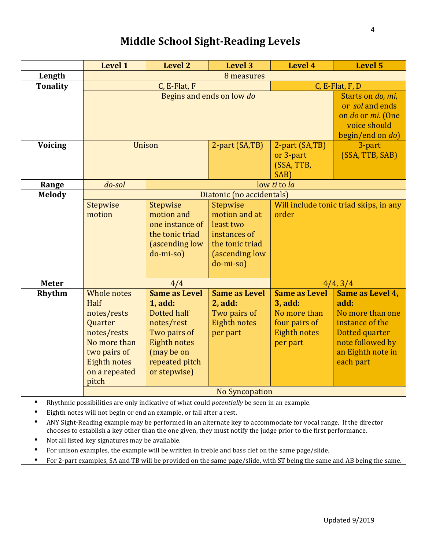# **Middle School Sight-Reading Levels**

|                                                                                             | <b>Level 1</b>        | <b>Level 2</b>       | <b>Level 3</b>            | Level 4              | <b>Level 5</b>                         |  |  |
|---------------------------------------------------------------------------------------------|-----------------------|----------------------|---------------------------|----------------------|----------------------------------------|--|--|
| Length                                                                                      |                       | 8 measures           |                           |                      |                                        |  |  |
| <b>Tonality</b>                                                                             |                       | C, E-Flat, F         |                           |                      | C, E-Flat, F, D                        |  |  |
|                                                                                             |                       |                      | Begins and ends on low do |                      | Starts on do, mi,                      |  |  |
|                                                                                             |                       |                      |                           |                      | or sol and ends                        |  |  |
|                                                                                             |                       |                      |                           |                      | on do or mi. (One                      |  |  |
|                                                                                             |                       |                      |                           |                      | voice should                           |  |  |
|                                                                                             |                       |                      |                           |                      | begin/end on do)                       |  |  |
| <b>Voicing</b>                                                                              | Unison                |                      | 2-part (SA,TB)            | 2-part (SA,TB)       | 3-part                                 |  |  |
|                                                                                             |                       |                      |                           | or 3-part            | (SSA, TTB, SAB)                        |  |  |
|                                                                                             |                       |                      |                           | (SSA, TTB,           |                                        |  |  |
|                                                                                             |                       |                      |                           | SAB)                 |                                        |  |  |
| Range                                                                                       | $do$ -sol             |                      |                           | low ti to la         |                                        |  |  |
| <b>Melody</b>                                                                               |                       |                      | Diatonic (no accidentals) |                      |                                        |  |  |
|                                                                                             | <b>Stepwise</b>       | Stepwise             | Stepwise                  |                      | Will include tonic triad skips, in any |  |  |
|                                                                                             | motion                | motion and           | motion and at             | order                |                                        |  |  |
|                                                                                             |                       | one instance of      | least two                 |                      |                                        |  |  |
|                                                                                             |                       | the tonic triad      | instances of              |                      |                                        |  |  |
|                                                                                             |                       | (ascending low       | the tonic triad           |                      |                                        |  |  |
|                                                                                             |                       | do-mi-so)            | (ascending low            |                      |                                        |  |  |
|                                                                                             |                       |                      | do-mi-so)                 |                      |                                        |  |  |
| <b>Meter</b>                                                                                |                       | 4/4                  |                           | 4/4, 3/4             |                                        |  |  |
| Rhythm                                                                                      | Whole notes           | <b>Same as Level</b> | <b>Same as Level</b>      | <b>Same as Level</b> | Same as Level 4,                       |  |  |
|                                                                                             | Half                  | 1, add:              | 2, add:                   | 3, add:              | add:                                   |  |  |
|                                                                                             | notes/rests           | Dotted half          | Two pairs of              | No more than         | No more than one                       |  |  |
|                                                                                             | Quarter               | notes/rest           | <b>Eighth notes</b>       | four pairs of        | instance of the                        |  |  |
|                                                                                             | notes/rests           | Two pairs of         | per part                  | <b>Eighth notes</b>  | Dotted quarter                         |  |  |
|                                                                                             | No more than          | Eighth notes         |                           | per part             | note followed by                       |  |  |
|                                                                                             | two pairs of          | (may be on           |                           |                      | an Eighth note in                      |  |  |
|                                                                                             | <b>Eighth notes</b>   | repeated pitch       |                           |                      | each part                              |  |  |
|                                                                                             | on a repeated         | or stepwise)         |                           |                      |                                        |  |  |
|                                                                                             | pitch                 |                      |                           |                      |                                        |  |  |
|                                                                                             | <b>No Syncopation</b> |                      |                           |                      |                                        |  |  |
| Rhythmic possibilities are only indicative of what could potentially be seen in an example. |                       |                      |                           |                      |                                        |  |  |
| Eighth notes will not begin or end an example, or fall after a rest.                        |                       |                      |                           |                      |                                        |  |  |

- ANY Sight-Reading example may be performed in an alternate key to accommodate for vocal range. If the director chooses to establish a key other than the one given, they must notify the judge prior to the first performance.
- Not all listed key signatures may be available.
- For unison examples, the example will be written in treble and bass clef on the same page/slide.
- For 2-part examples, SA and TB will be provided on the same page/slide, with ST being the same and AB being the same.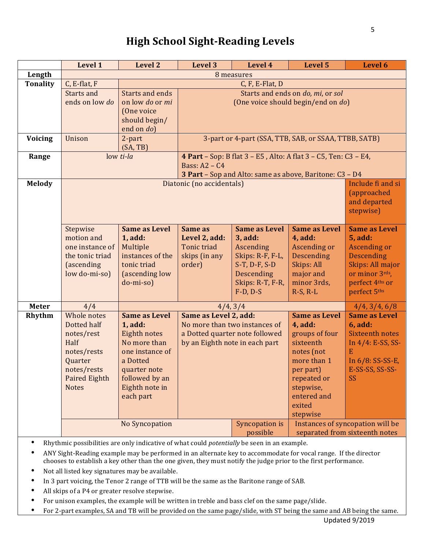# **High School Sight-Reading Levels**

|                 | Level 1                                                                                                                           | <b>Level 2</b>                                                                                                                                                  | <b>Level 3</b>                                                                                                             | Level 4                                                                                                                                      | <b>Level 5</b>                                                                                                                                                            | Level 6                                                                                                                                                     |
|-----------------|-----------------------------------------------------------------------------------------------------------------------------------|-----------------------------------------------------------------------------------------------------------------------------------------------------------------|----------------------------------------------------------------------------------------------------------------------------|----------------------------------------------------------------------------------------------------------------------------------------------|---------------------------------------------------------------------------------------------------------------------------------------------------------------------------|-------------------------------------------------------------------------------------------------------------------------------------------------------------|
| Length          | 8 measures                                                                                                                        |                                                                                                                                                                 |                                                                                                                            |                                                                                                                                              |                                                                                                                                                                           |                                                                                                                                                             |
| <b>Tonality</b> | C, E-flat, F                                                                                                                      |                                                                                                                                                                 |                                                                                                                            | C, F, E-Flat, D                                                                                                                              |                                                                                                                                                                           |                                                                                                                                                             |
|                 | Starts and<br>ends on low do                                                                                                      | Starts and ends<br>on low do or mi<br>(One voice                                                                                                                | Starts and ends on do, mi, or sol<br>(One voice should begin/end on do)                                                    |                                                                                                                                              |                                                                                                                                                                           |                                                                                                                                                             |
|                 |                                                                                                                                   | should begin/<br>end on do)                                                                                                                                     |                                                                                                                            |                                                                                                                                              |                                                                                                                                                                           |                                                                                                                                                             |
| Voicing         | Unison                                                                                                                            | 2-part<br>(SA, TB)                                                                                                                                              | 3-part or 4-part (SSA, TTB, SAB, or SSAA, TTBB, SATB)                                                                      |                                                                                                                                              |                                                                                                                                                                           |                                                                                                                                                             |
| Range           |                                                                                                                                   | low ti-la<br>4 Part - Sop: B flat 3 - E5, Alto: A flat 3 - C5, Ten: C3 - E4,<br>Bass: $A2 - C4$<br>3 Part - Sop and Alto: same as above, Baritone: C3 - D4      |                                                                                                                            |                                                                                                                                              |                                                                                                                                                                           |                                                                                                                                                             |
| <b>Melody</b>   |                                                                                                                                   | Include fi and si<br>Diatonic (no accidentals)<br>(approached<br>and departed<br>stepwise)                                                                      |                                                                                                                            |                                                                                                                                              |                                                                                                                                                                           |                                                                                                                                                             |
|                 | Stepwise<br>motion and<br>one instance of<br>the tonic triad<br>(ascending<br>low do-mi-so)                                       | <b>Same as Level</b><br>1, add:<br>Multiple<br>instances of the<br>tonic triad<br>(ascending low<br>do-mi-so)                                                   | Same as<br>Level 2, add:<br><b>Tonic triad</b><br>skips (in any<br>order)                                                  | <b>Same as Level</b><br>3, add:<br>Ascending<br>Skips: R-F, F-L,<br>$S-T$ , $D-F$ , $S-D$<br>Descending<br>Skips: R-T, F-R,<br>$F-D$ , $D-S$ | <b>Same as Level</b><br>4, add:<br>Ascending or<br>Descending<br>Skips: All<br>major and<br>minor 3rds,<br>$R-S, R-L$                                                     | <b>Same as Level</b><br><b>5, add:</b><br><b>Ascending or</b><br><b>Descending</b><br>Skips: All major<br>or minor 3rds,<br>perfect 4ths or<br>perfect 5ths |
| Meter           | 4/4                                                                                                                               |                                                                                                                                                                 |                                                                                                                            | 4/4, 3/4                                                                                                                                     |                                                                                                                                                                           | 4/4, 3/4, 6/8                                                                                                                                               |
| Rhythm          | Whole notes<br>Dotted half<br>notes/rest<br>Half<br>notes/rests<br>Quarter<br>notes/rests<br><b>Paired Eighth</b><br><b>Notes</b> | <b>Same as Level</b><br>1, add:<br>Eighth notes<br>No more than<br>one instance of<br>a Dotted<br>quarter note<br>followed by an<br>Eighth note in<br>each part | Same as Level 2, add:<br>No more than two instances of<br>a Dotted quarter note followed<br>by an Eighth note in each part |                                                                                                                                              | <b>Same as Level</b><br>4, add:<br>groups of four<br>sixteenth<br>notes (not<br>more than 1<br>per part)<br>repeated or<br>stepwise,<br>entered and<br>exited<br>stepwise | <b>Same as Level</b><br><b>6, add:</b><br><b>Sixteenth notes</b><br>In $4/4$ : E-SS, SS-<br>E<br>In $6/8$ : SS-SS-E,<br>E-SS-SS, SS-SS-<br>SS               |
|                 | No Syncopation                                                                                                                    |                                                                                                                                                                 |                                                                                                                            | Syncopation is<br>possible                                                                                                                   | Instances of syncopation will be<br>separated from sixteenth notes                                                                                                        |                                                                                                                                                             |

- Rhythmic possibilities are only indicative of what could *potentially* be seen in an example.
- ANY Sight-Reading example may be performed in an alternate key to accommodate for vocal range. If the director chooses to establish a key other than the one given, they must notify the judge prior to the first performance.
- Not all listed key signatures may be available.
- In 3 part voicing, the Tenor 2 range of TTB will be the same as the Baritone range of SAB.
- All skips of a P4 or greater resolve stepwise.
- For unison examples, the example will be written in treble and bass clef on the same page/slide.
- For 2-part examples, SA and TB will be provided on the same page/slide, with ST being the same and AB being the same.

5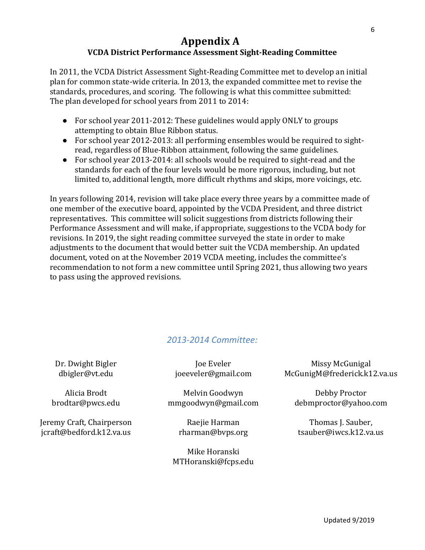## **Appendix A VCDA District Performance Assessment Sight-Reading Committee**

In 2011, the VCDA District Assessment Sight-Reading Committee met to develop an initial plan for common state-wide criteria. In 2013, the expanded committee met to revise the standards, procedures, and scoring. The following is what this committee submitted: The plan developed for school years from 2011 to 2014:

- For school year 2011-2012: These guidelines would apply ONLY to groups attempting to obtain Blue Ribbon status.
- For school year 2012-2013: all performing ensembles would be required to sightread, regardless of Blue-Ribbon attainment, following the same guidelines.
- For school year 2013-2014: all schools would be required to sight-read and the standards for each of the four levels would be more rigorous, including, but not limited to, additional length, more difficult rhythms and skips, more voicings, etc.

In years following 2014, revision will take place every three years by a committee made of one member of the executive board, appointed by the VCDA President, and three district representatives. This committee will solicit suggestions from districts following their Performance Assessment and will make, if appropriate, suggestions to the VCDA body for revisions. In 2019, the sight reading committee surveyed the state in order to make adjustments to the document that would better suit the VCDA membership. An updated document, voted on at the November 2019 VCDA meeting, includes the committee's recommendation to not form a new committee until Spring 2021, thus allowing two years to pass using the approved revisions.

## *2013-2014 Committee:*

Dr. Dwight Bigler dbigler@vt.edu

Alicia Brodt brodtar@pwcs.edu

Jeremy Craft, Chairperson jcraft@bedford.k12.va.us

Joe Eveler joeeveler@gmail.com

Melvin Goodwyn mmgoodwyn@gmail.com

> Raejie Harman rharman@bvps.org

Mike Horanski MTHoranski@fcps.edu

Missy McGunigal McGunigM@frederick.k12.va.us

Debby Proctor debmproctor@yahoo.com

Thomas J. Sauber, tsauber@iwcs.k12.va.us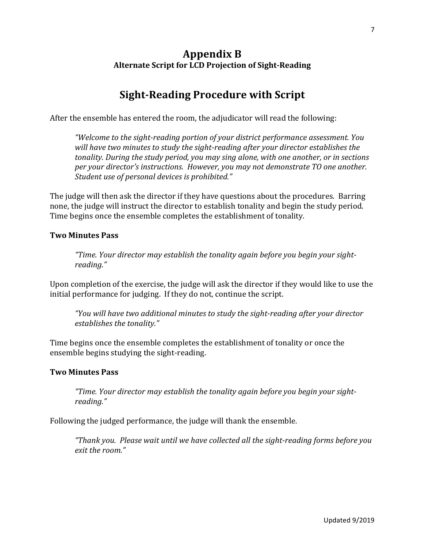## **Appendix B Alternate Script for LCD Projection of Sight-Reading**

# **Sight-Reading Procedure with Script**

After the ensemble has entered the room, the adjudicator will read the following:

*"Welcome to the sight-reading portion of your district performance assessment. You* will have two minutes to study the sight-reading after your director establishes the *tonality.* During the study period, you may sing alone, with one another, or in sections *per your director's instructions. However, you may not demonstrate TO one another. Student use of personal devices is prohibited."* 

The judge will then ask the director if they have questions about the procedures. Barring none, the judge will instruct the director to establish tonality and begin the study period. Time begins once the ensemble completes the establishment of tonality.

#### **Two Minutes Pass**

*"Time. Your director may establish the tonality again before you begin your sightreading."*

Upon completion of the exercise, the judge will ask the director if they would like to use the initial performance for judging. If they do not, continue the script.

*"You will have two additional minutes to study the sight-reading after your director establishes the tonality."* 

Time begins once the ensemble completes the establishment of tonality or once the ensemble begins studying the sight-reading.

#### **Two Minutes Pass**

"Time. Your director may establish the tonality again before you begin your sight*reading."*

Following the judged performance, the judge will thank the ensemble.

*"Thank you. Please wait until we have collected all the sight-reading forms before you exit the room."*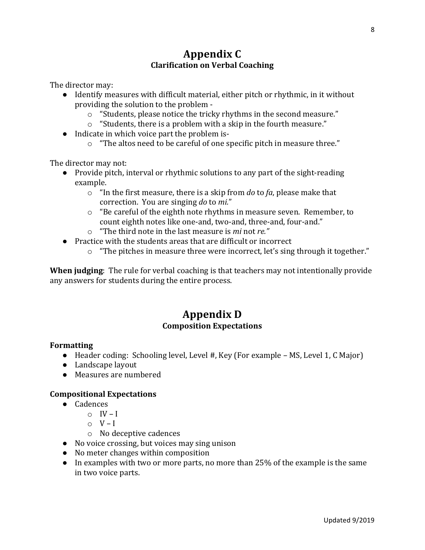The director may:

- Identify measures with difficult material, either pitch or rhythmic, in it without providing the solution to the problem
	- o "Students, please notice the tricky rhythms in the second measure."
	- $\circ$  "Students, there is a problem with a skip in the fourth measure."
- Indicate in which voice part the problem is-
	- $\circ$  "The altos need to be careful of one specific pitch in measure three."

The director may not:

- Provide pitch, interval or rhythmic solutions to any part of the sight-reading example.
	- $\circ$  "In the first measure, there is a skip from *do* to *fa*, please make that correction. You are singing *do* to *mi.*"
	- $\circ$  "Be careful of the eighth note rhythms in measure seven. Remember, to count eighth notes like one-and, two-and, three-and, four-and."
	- o "The third note in the last measure is *mi* not *re."*
- Practice with the students areas that are difficult or incorrect
	- $\circ$  "The pitches in measure three were incorrect, let's sing through it together."

**When judging**: The rule for verbal coaching is that teachers may not intentionally provide any answers for students during the entire process.

## **Appendix D Composition Expectations**

#### **Formatting**

- Header coding: Schooling level, Level #, Key (For example MS, Level 1, C Major)
- Landscape layout
- Measures are numbered

#### **Compositional Expectations**

- Cadences
	- $\circ$  IV I
	- $\circ$  V I
	- $\circ$  No deceptive cadences
- No voice crossing, but voices may sing unison
- No meter changes within composition
- In examples with two or more parts, no more than 25% of the example is the same in two voice parts.